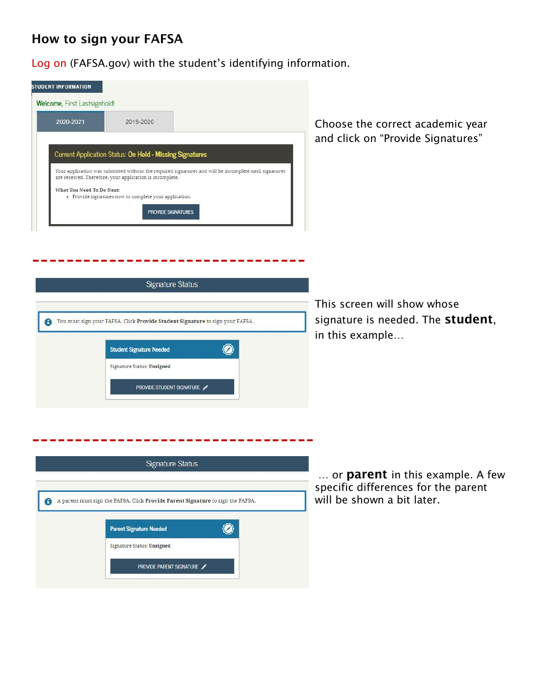# **How to sign your FAFSA**

Log on (FAFSA.gov) with the student's identifying information.

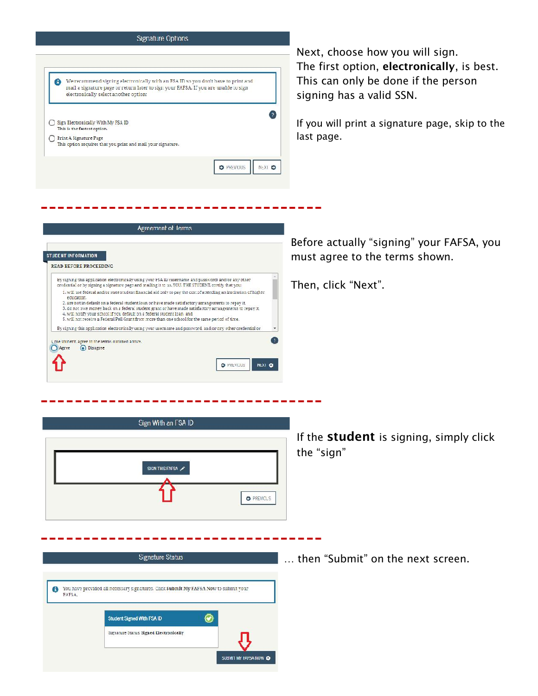#### **Signature Options**



SUBMIT MY FAFSA NOW O

The first option, **electronically**, is best. This can only be done if the person

If you will print a signature page, skip to the

Before actually "signing" your FAFSA, you must agree to the terms shown.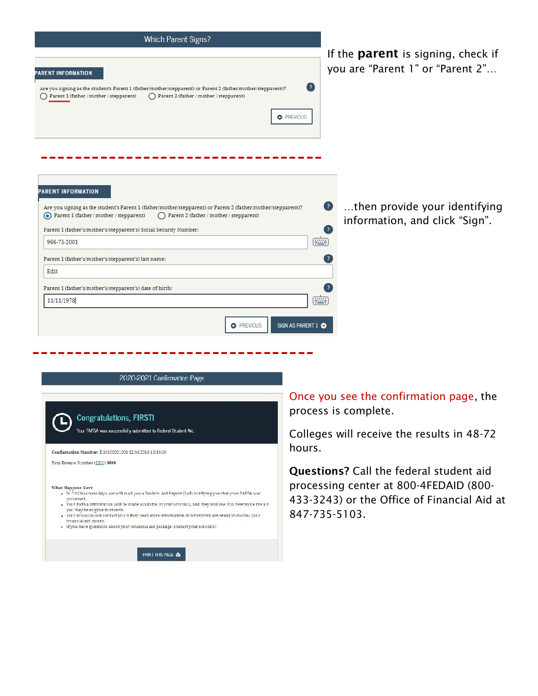| If the <b>parent</b> is signing, check if<br>you are "Parent 1" or "Parent 2"<br>$\left( \frac{2}{3} \right)$<br>Parent 2 (father / mother / stepparent)<br><b>O</b> PREVIOUS<br>then provide your identifying<br>$\left( 2\right)$<br>Parent 2 (father / mother / stepparent)<br>information, and click "Sign".<br>$\lceil$ ?<br>$\left[\frac{1}{2},\frac{1}{2},\frac{1}{2}\right]$<br>- 2<br><b>Fillip</b><br>11/11/1978 | PARENT INFORMATION<br>Are you signing as the student's Parent 1 (father/mother/stepparent) or Parent 2 (father/mother/stepparent)?<br>Parent 1 (father / mother / stepparent)<br>PARENT INFORMATION<br>Are you signing as the student's Parent 1 (father/mother/stepparent) or Parent 2 (father/mother/stepparent)?<br>⊙ Parent 1 (father / mother / stepparent)<br>Parent 1 (father's/mother's/stepparent's) Social Security Number:<br>966-75-2001<br>Parent 1 (father's/mother's/stepparent's) last name:<br>Edit<br>Parent 1 (father's/mother's/stepparent's) date of birth: |
|----------------------------------------------------------------------------------------------------------------------------------------------------------------------------------------------------------------------------------------------------------------------------------------------------------------------------------------------------------------------------------------------------------------------------|----------------------------------------------------------------------------------------------------------------------------------------------------------------------------------------------------------------------------------------------------------------------------------------------------------------------------------------------------------------------------------------------------------------------------------------------------------------------------------------------------------------------------------------------------------------------------------|
|                                                                                                                                                                                                                                                                                                                                                                                                                            |                                                                                                                                                                                                                                                                                                                                                                                                                                                                                                                                                                                  |
|                                                                                                                                                                                                                                                                                                                                                                                                                            |                                                                                                                                                                                                                                                                                                                                                                                                                                                                                                                                                                                  |
|                                                                                                                                                                                                                                                                                                                                                                                                                            |                                                                                                                                                                                                                                                                                                                                                                                                                                                                                                                                                                                  |
|                                                                                                                                                                                                                                                                                                                                                                                                                            |                                                                                                                                                                                                                                                                                                                                                                                                                                                                                                                                                                                  |
|                                                                                                                                                                                                                                                                                                                                                                                                                            |                                                                                                                                                                                                                                                                                                                                                                                                                                                                                                                                                                                  |
|                                                                                                                                                                                                                                                                                                                                                                                                                            |                                                                                                                                                                                                                                                                                                                                                                                                                                                                                                                                                                                  |
|                                                                                                                                                                                                                                                                                                                                                                                                                            |                                                                                                                                                                                                                                                                                                                                                                                                                                                                                                                                                                                  |
|                                                                                                                                                                                                                                                                                                                                                                                                                            |                                                                                                                                                                                                                                                                                                                                                                                                                                                                                                                                                                                  |
|                                                                                                                                                                                                                                                                                                                                                                                                                            |                                                                                                                                                                                                                                                                                                                                                                                                                                                                                                                                                                                  |
|                                                                                                                                                                                                                                                                                                                                                                                                                            | SIGN AS PARENT 1 O<br><b>O</b> PREVIOUS                                                                                                                                                                                                                                                                                                                                                                                                                                                                                                                                          |

### 2020-2021 Confirmation Page

| <b>Congratulations, FIRSTI</b><br>Your FAFSA was successfully submitted to Federal Student Aic.                                                                                                                                                                                                                                                                                                                                                                                                                           |
|---------------------------------------------------------------------------------------------------------------------------------------------------------------------------------------------------------------------------------------------------------------------------------------------------------------------------------------------------------------------------------------------------------------------------------------------------------------------------------------------------------------------------|
| Confirmation Number: E 10100021208 12/04/2019 12:33:00                                                                                                                                                                                                                                                                                                                                                                                                                                                                    |
| Data Release Number (DRN) 9999                                                                                                                                                                                                                                                                                                                                                                                                                                                                                            |
| <b>What Happens Next</b><br>. In 7-10 husiness days, we will mail you a Student Aid Report (SAR) notifying you that your PAFSA was<br>processed.<br>. Vour FAFSA information will be made available to your school(s), and they will use it to determine the aid<br>you may be eligible to receive.<br>. Vour school(s) will contact you if they need more information or when they are ready to discuss your<br>tingucial aid award.<br>. If you have questions about your hnancial aid package, contact your schoolis!, |
| <b>PRINT THIS PAGE &amp;</b>                                                                                                                                                                                                                                                                                                                                                                                                                                                                                              |

Once you see the confirmation page, the process is complete.

Colleges will receive the results in 48-72 hours.

**Questions?** Call the federal student aid processing center at 800-4FEDAID (800- 433-3243) or the Office of Financial Aid at 847-735-5103.